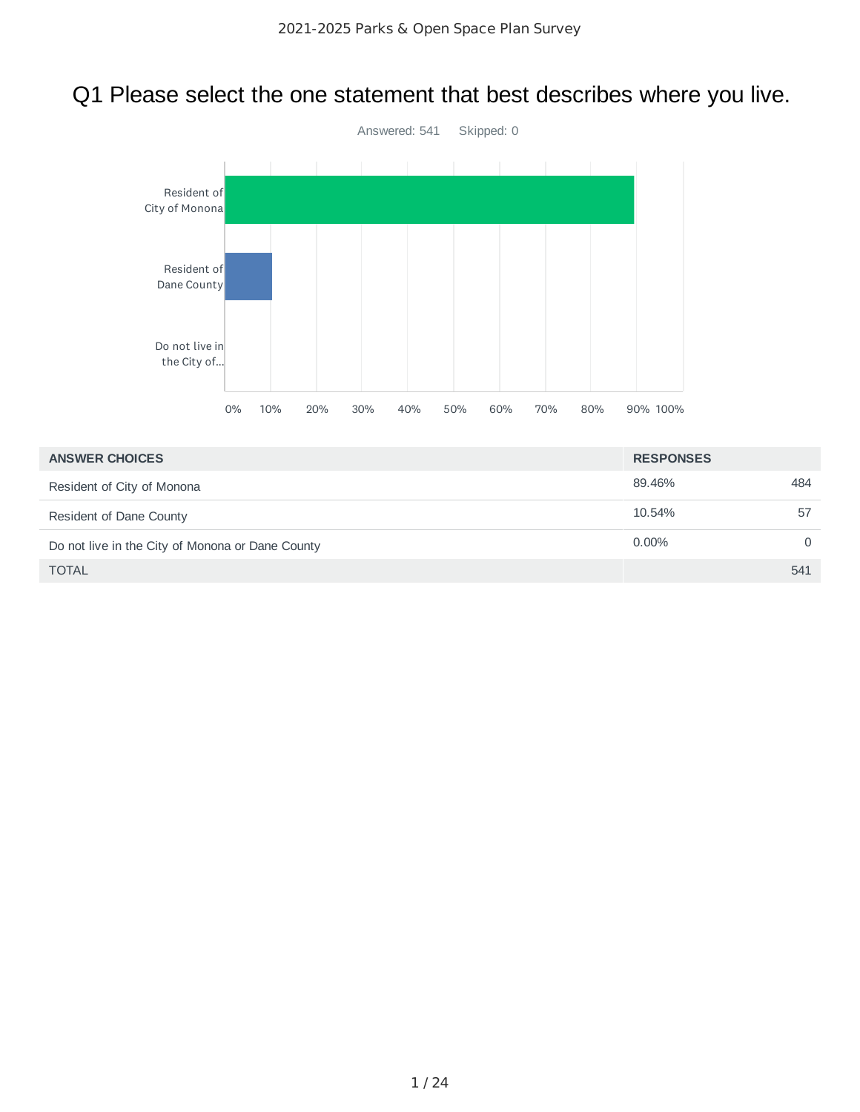# Q1 Please select the one statement that best describes where you live.



| <b>ANSWER CHOICES</b>                            | <b>RESPONSES</b> |     |
|--------------------------------------------------|------------------|-----|
| Resident of City of Monona                       | 89.46%           | 484 |
| Resident of Dane County                          | 10.54%           | 57  |
| Do not live in the City of Monona or Dane County | $0.00\%$         | 0   |
| <b>TOTAL</b>                                     |                  | 541 |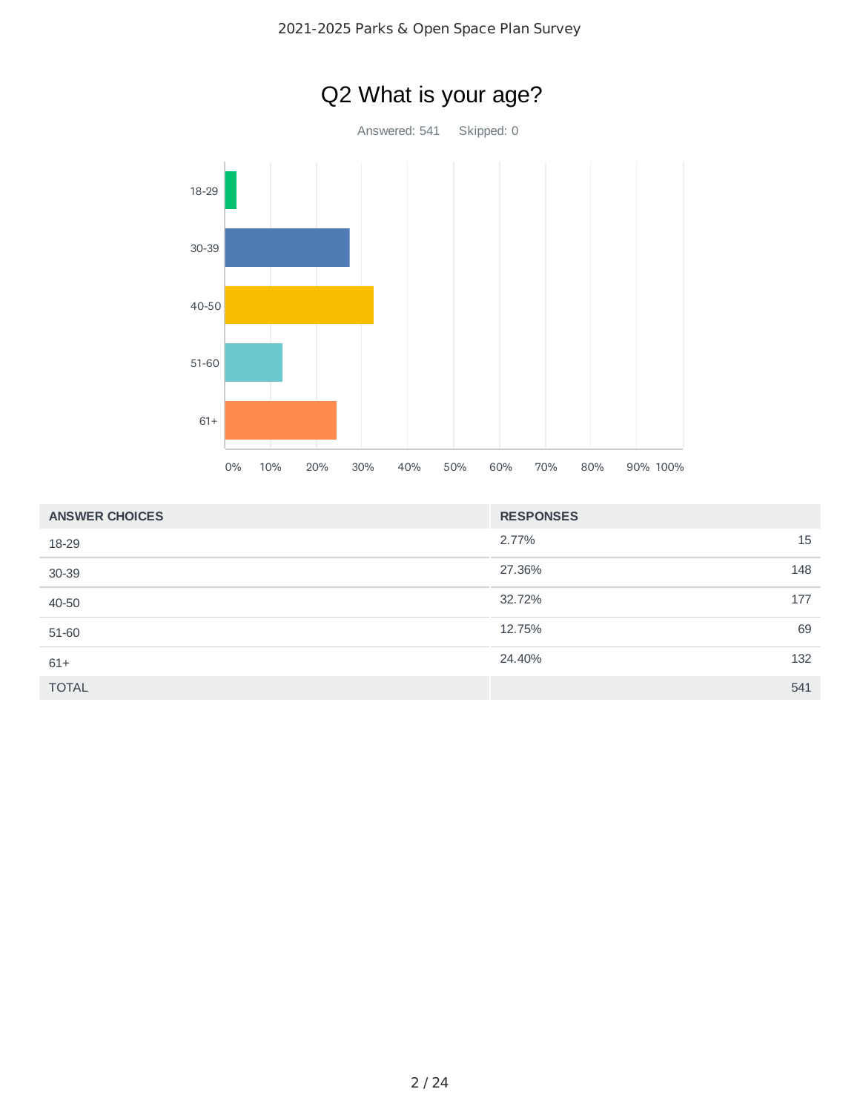

| <b>ANSWER CHOICES</b> | <b>RESPONSES</b> |
|-----------------------|------------------|
| 18-29                 | 15<br>2.77%      |
| 30-39                 | 27.36%<br>148    |
| 40-50                 | 32.72%<br>177    |
| 51-60                 | 69<br>12.75%     |
| $61+$                 | 24.40%<br>132    |
| <b>TOTAL</b>          | 541              |

# Q2 What is your age?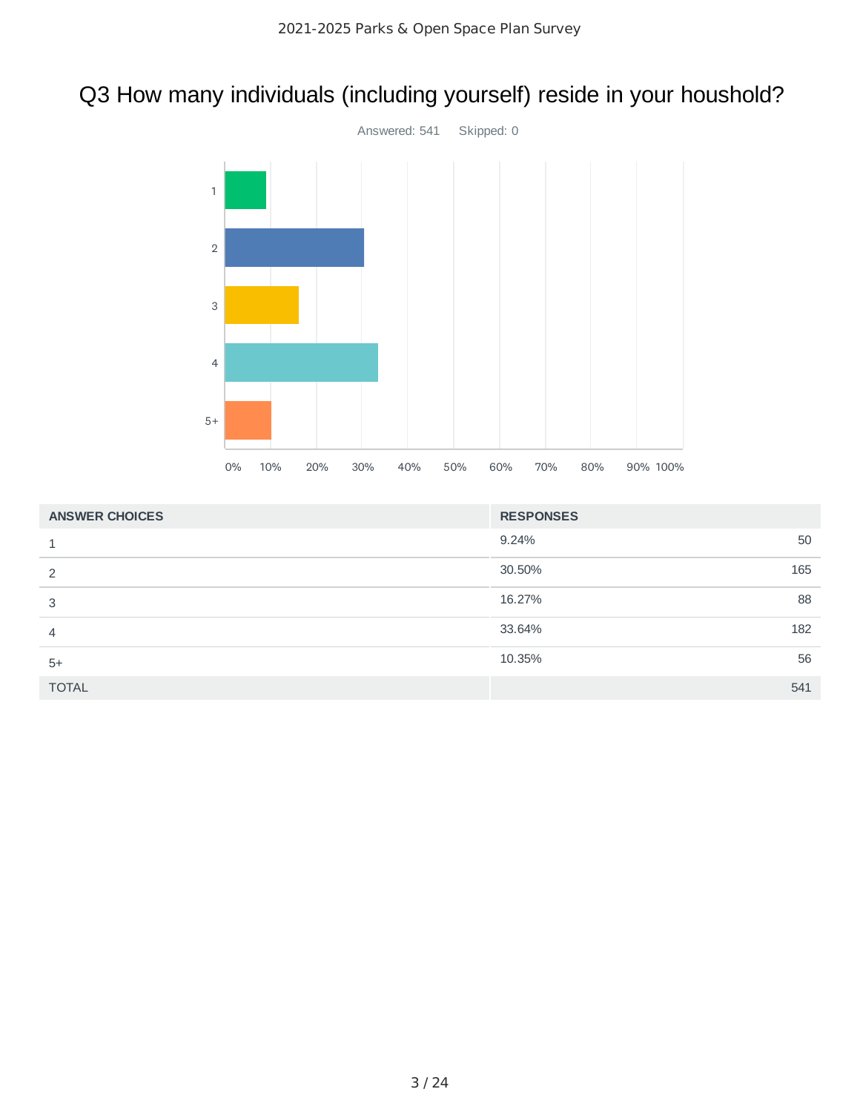# Q3 How many individuals (including yourself) reside in your houshold?



| <b>ANSWER CHOICES</b> | <b>RESPONSES</b> |     |
|-----------------------|------------------|-----|
|                       | 9.24%            | 50  |
| 2                     | 30.50%           | 165 |
| 3                     | 16.27%           | 88  |
| 4                     | 33.64%           | 182 |
| $5+$                  | 10.35%           | 56  |
| <b>TOTAL</b>          |                  | 541 |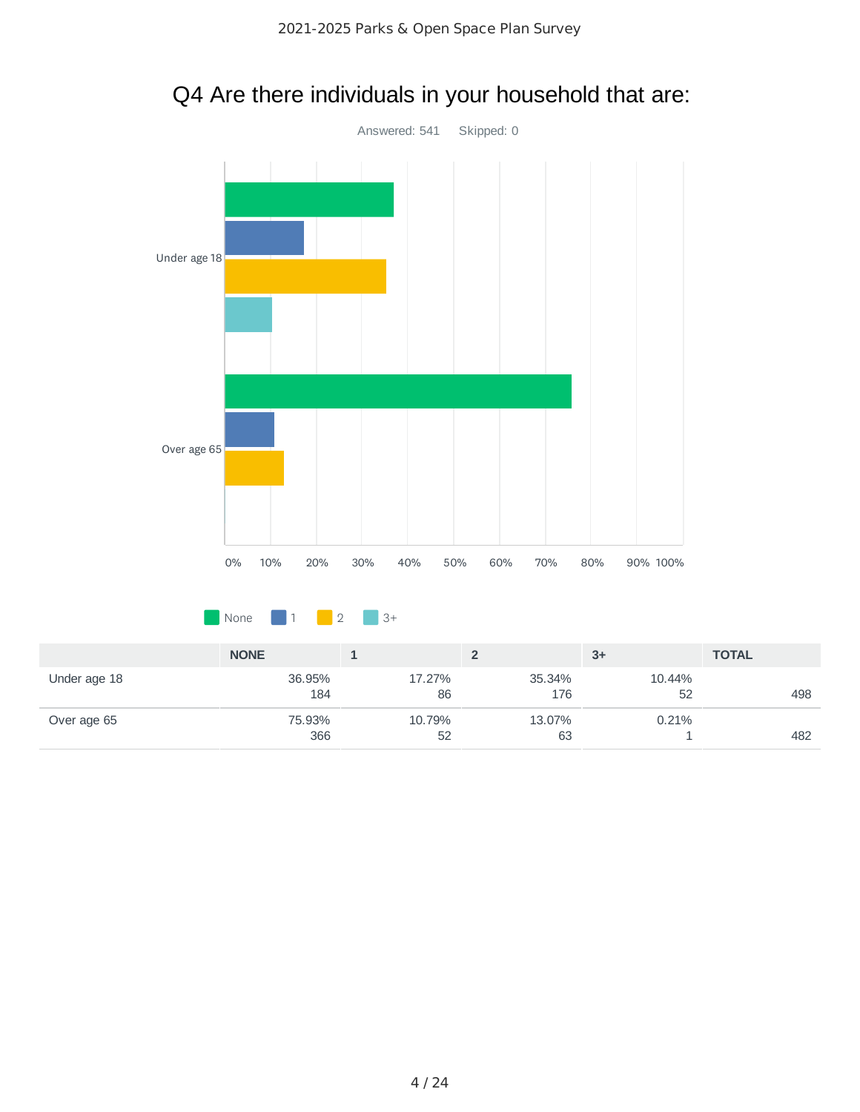

75.93% 366

Over age 65

# Q4 Are there individuals in your household that are:

10.79% 52 13.07% 63 0.21%

1 482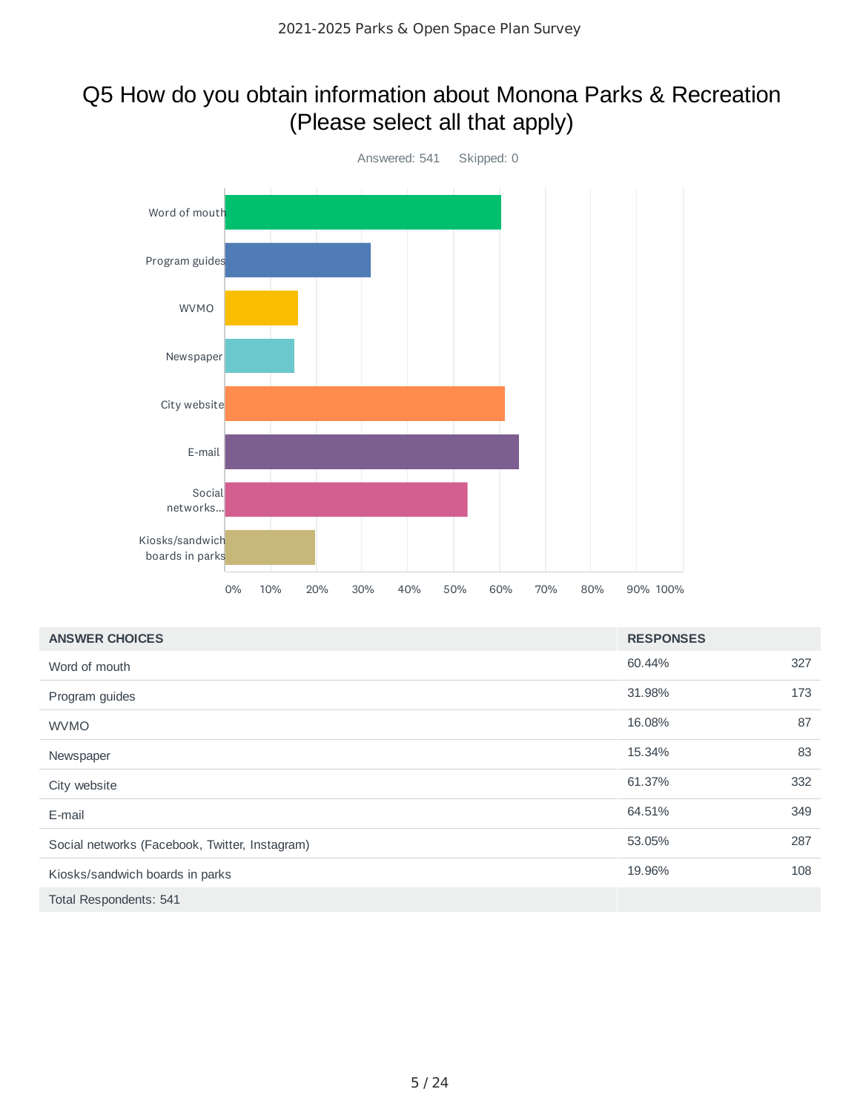## Q5 How do you obtain information about Monona Parks & Recreation (Please select all that apply)



| <b>ANSWER CHOICES</b>                          | <b>RESPONSES</b> |     |
|------------------------------------------------|------------------|-----|
| Word of mouth                                  | 60.44%           | 327 |
| Program guides                                 | 31.98%           | 173 |
| <b>WVMO</b>                                    | 16.08%           | 87  |
| Newspaper                                      | 15.34%           | 83  |
| City website                                   | 61.37%           | 332 |
| E-mail                                         | 64.51%           | 349 |
| Social networks (Facebook, Twitter, Instagram) | 53.05%           | 287 |
| Kiosks/sandwich boards in parks                | 19.96%           | 108 |
| Total Respondents: 541                         |                  |     |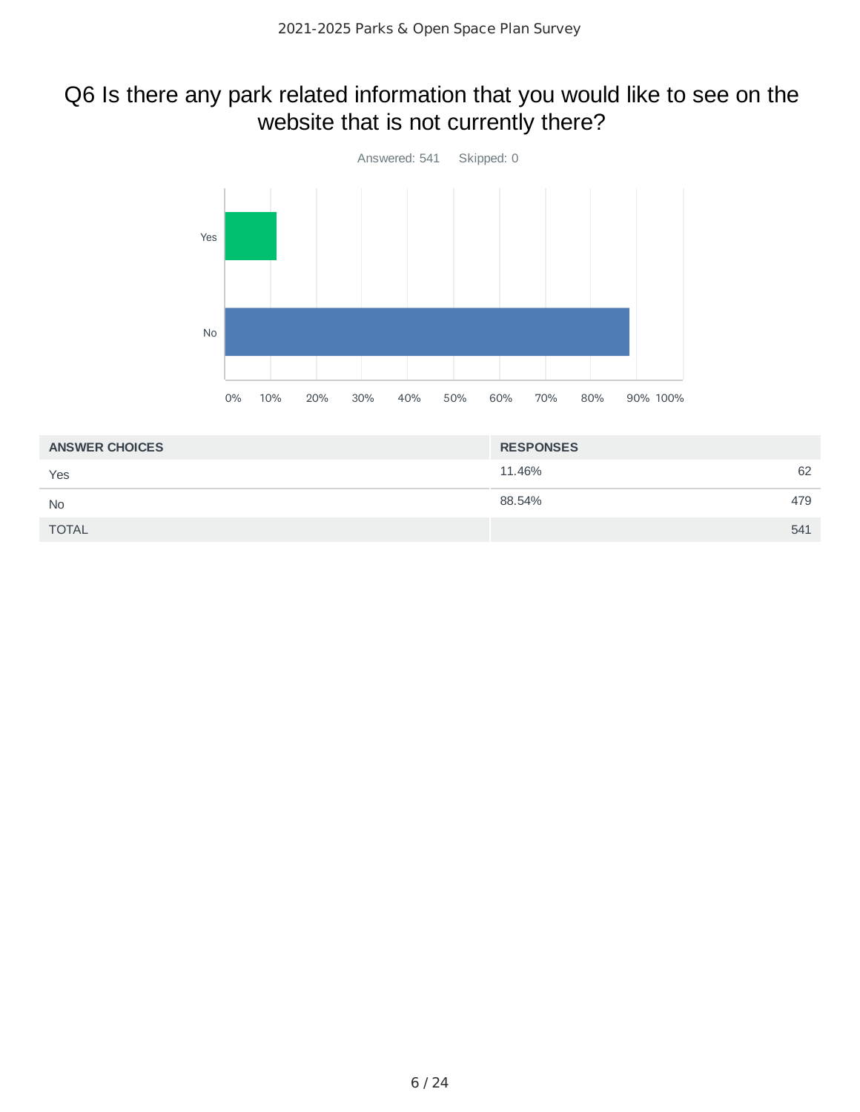## Q6 Is there any park related information that you would like to see on the website that is not currently there?



| <b>ANSWER CHOICES</b> | <b>RESPONSES</b> |     |
|-----------------------|------------------|-----|
| Yes                   | 11.46%           | 62  |
| <b>No</b>             | 88.54%           | 479 |
| <b>TOTAL</b>          |                  | 541 |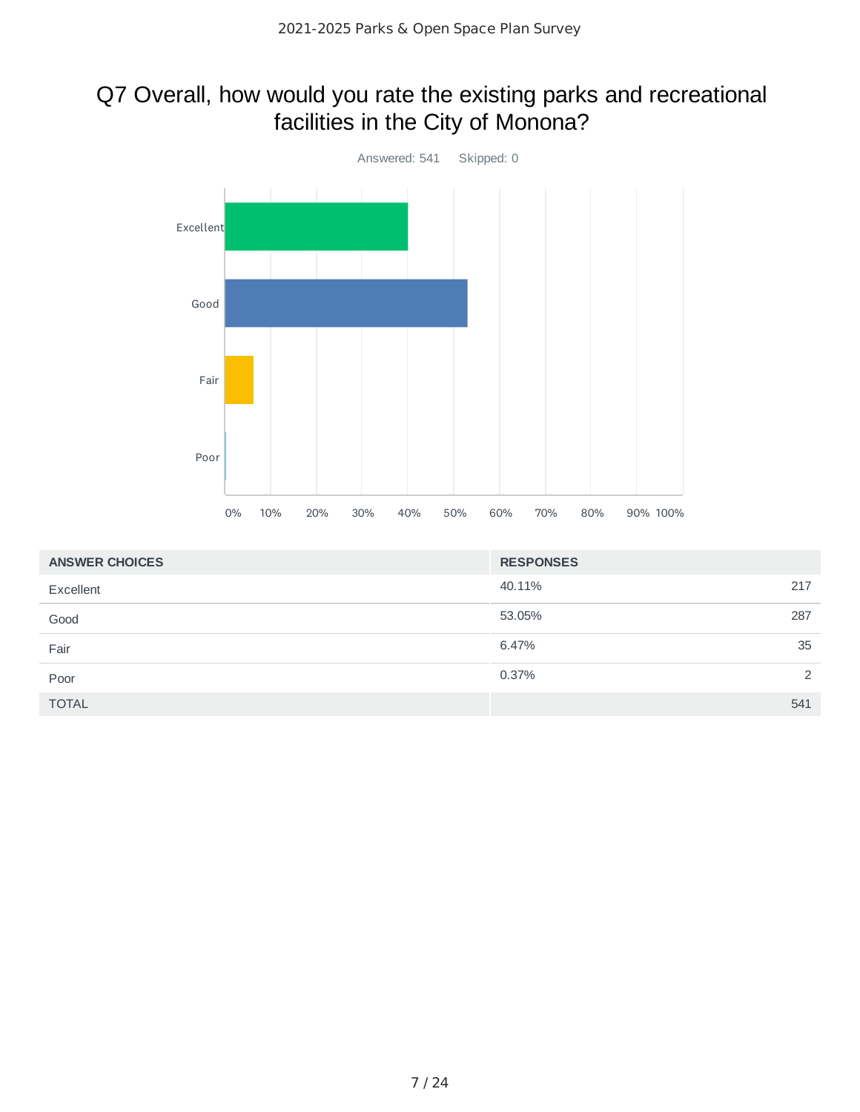## Q7 Overall, how would you rate the existing parks and recreational facilities in the City of Monona?



| <b>ANSWER CHOICES</b> | <b>RESPONSES</b> |               |
|-----------------------|------------------|---------------|
| Excellent             | 40.11%           | 217           |
| Good                  | 53.05%           | 287           |
| Fair                  | 6.47%            | 35            |
| Poor                  | 0.37%            | $\mathcal{P}$ |
| <b>TOTAL</b>          |                  | 541           |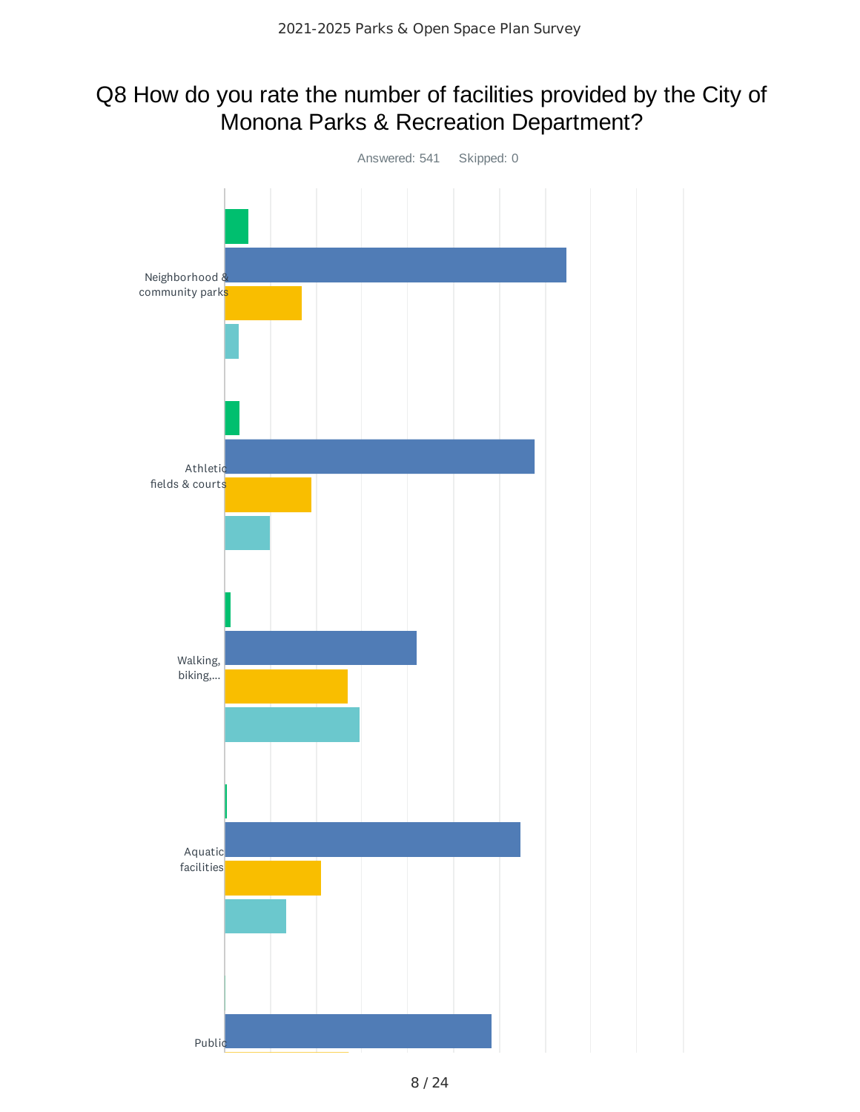### Q8 How do you rate the number of facilities provided by the City of Monona Parks & Recreation Department?

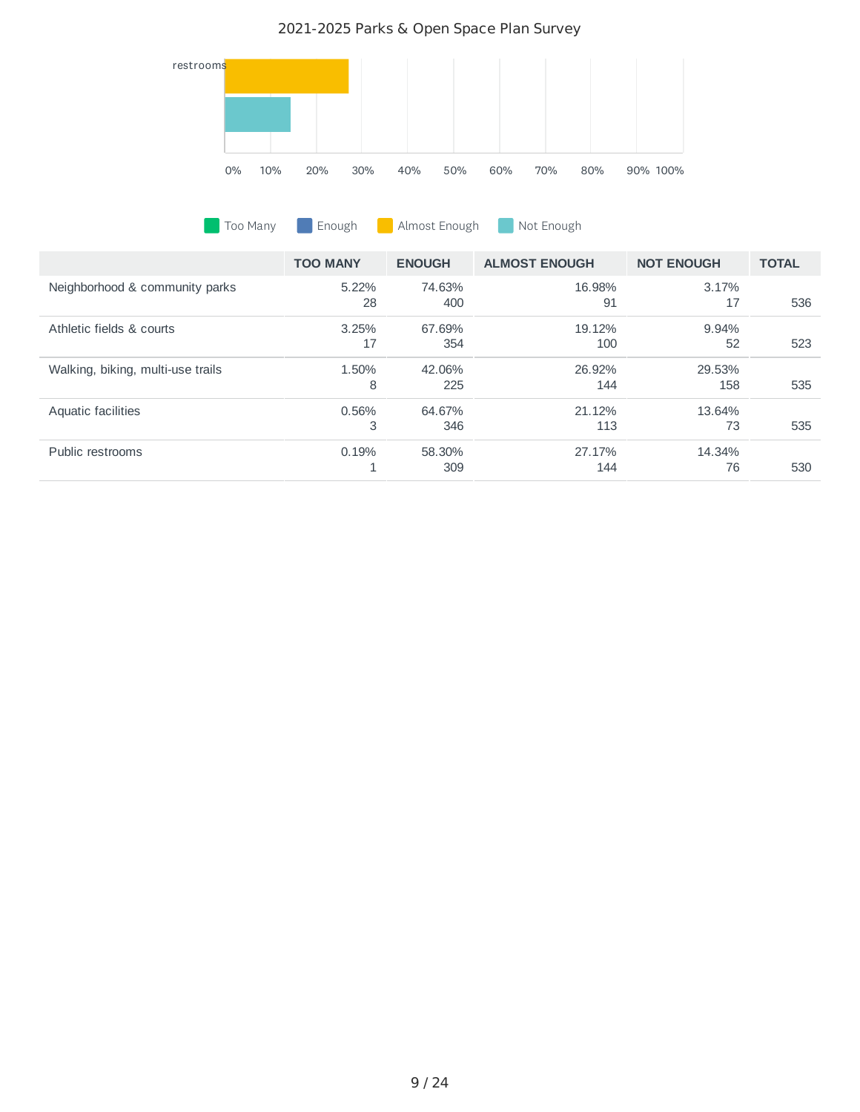

**Too Many Enough B** Almost Enough Not Enough

|                                   | <b>TOO MANY</b> | <b>ENOUGH</b> | <b>ALMOST ENOUGH</b> | <b>NOT ENOUGH</b> | <b>TOTAL</b> |
|-----------------------------------|-----------------|---------------|----------------------|-------------------|--------------|
| Neighborhood & community parks    | $5.22\%$        | 74.63%        | 16.98%               | 3.17%             |              |
|                                   | 28              | 400           | 91                   | 17                | 536          |
| Athletic fields & courts          | 3.25%           | 67.69%        | 19.12%               | 9.94%             |              |
|                                   | 17              | 354           | 100                  | 52                | 523          |
| Walking, biking, multi-use trails | 1.50%           | 42.06%        | 26.92%               | 29.53%            |              |
|                                   | 8               | 225           | 144                  | 158               | 535          |
| Aquatic facilities                | 0.56%           | 64.67%        | 21.12%               | 13.64%            |              |
|                                   | 3               | 346           | 113                  | 73                | 535          |
| Public restrooms                  | 0.19%           | 58.30%        | 27.17%               | 14.34%            |              |
|                                   |                 | 309           | 144                  | 76                | 530          |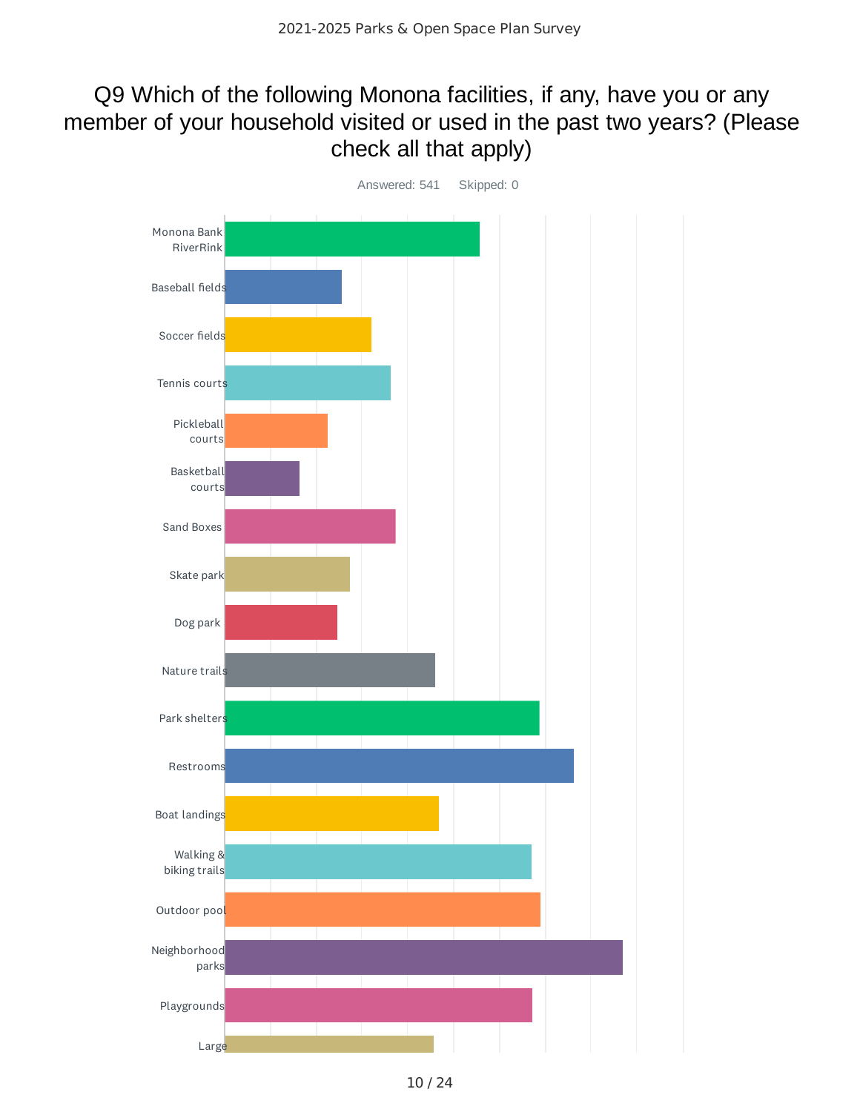### Q9 Which of the following Monona facilities, if any, have you or any member of your household visited or used in the past two years? (Please check all that apply)

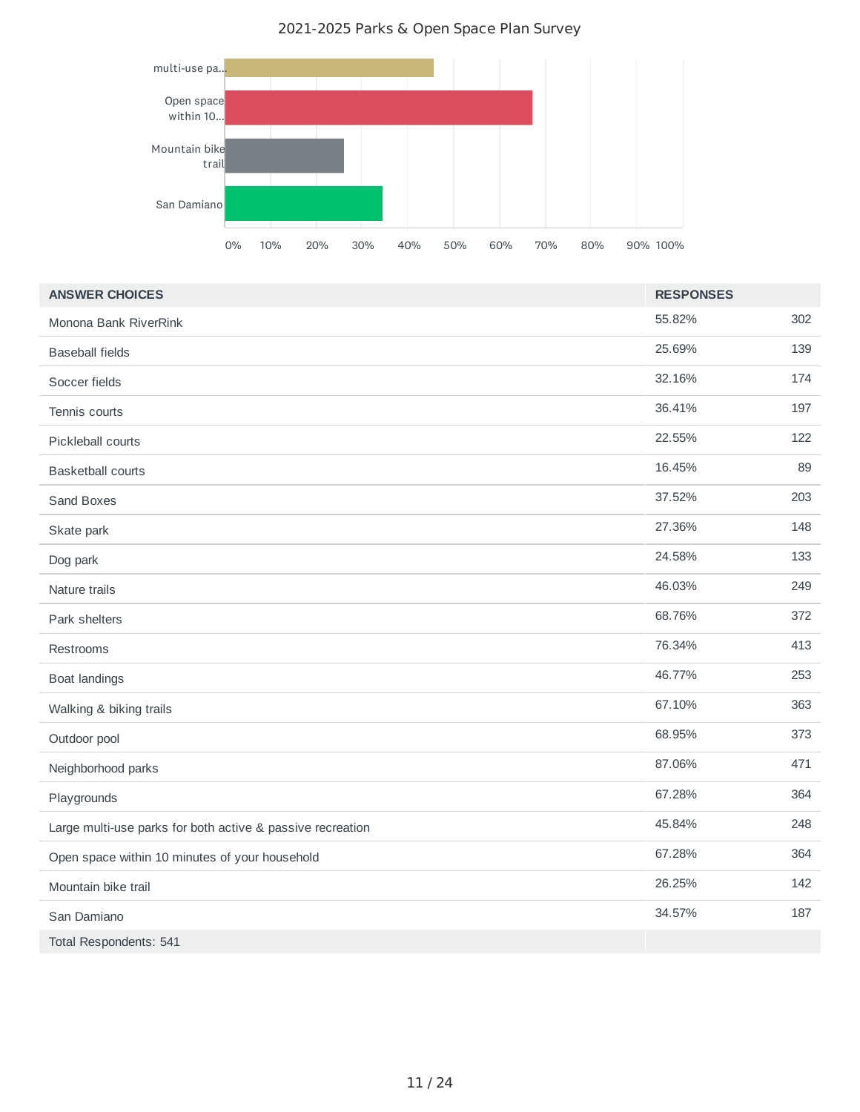2021-2025 Parks & Open Space Plan Survey



| <b>ANSWER CHOICES</b>                                      | <b>RESPONSES</b> |     |
|------------------------------------------------------------|------------------|-----|
| Monona Bank RiverRink                                      | 55.82%           | 302 |
| <b>Baseball fields</b>                                     | 25.69%           | 139 |
| Soccer fields                                              | 32.16%           | 174 |
| Tennis courts                                              | 36.41%           | 197 |
| Pickleball courts                                          | 22.55%           | 122 |
| <b>Basketball courts</b>                                   | 16.45%           | 89  |
| Sand Boxes                                                 | 37.52%           | 203 |
| Skate park                                                 | 27.36%           | 148 |
| Dog park                                                   | 24.58%           | 133 |
| Nature trails                                              | 46.03%           | 249 |
| Park shelters                                              | 68.76%           | 372 |
| Restrooms                                                  | 76.34%           | 413 |
| <b>Boat landings</b>                                       | 46.77%           | 253 |
| Walking & biking trails                                    | 67.10%           | 363 |
| Outdoor pool                                               | 68.95%           | 373 |
| Neighborhood parks                                         | 87.06%           | 471 |
| Playgrounds                                                | 67.28%           | 364 |
| Large multi-use parks for both active & passive recreation | 45.84%           | 248 |
| Open space within 10 minutes of your household             | 67.28%           | 364 |
| Mountain bike trail                                        | 26.25%           | 142 |
| San Damiano                                                | 34.57%           | 187 |
| Total Respondents: 541                                     |                  |     |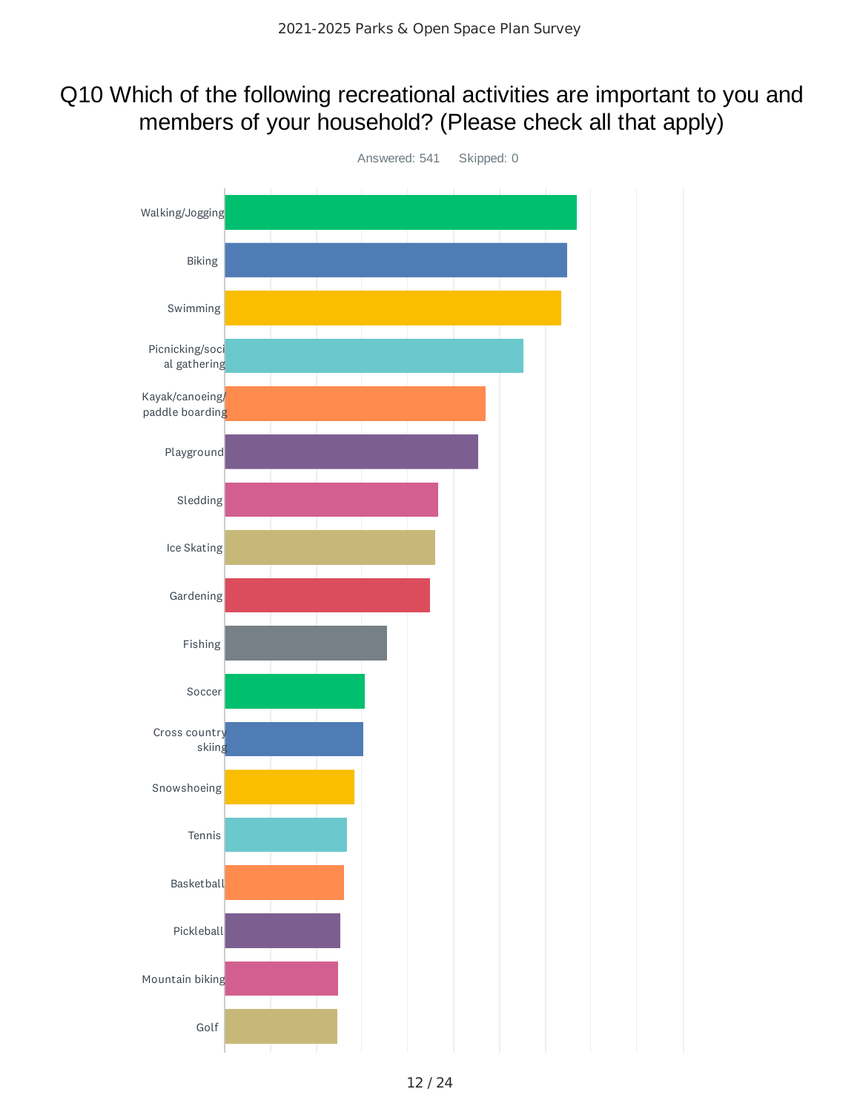### Q10 Which of the following recreational activities are important to you and members of your household? (Please check all that apply)

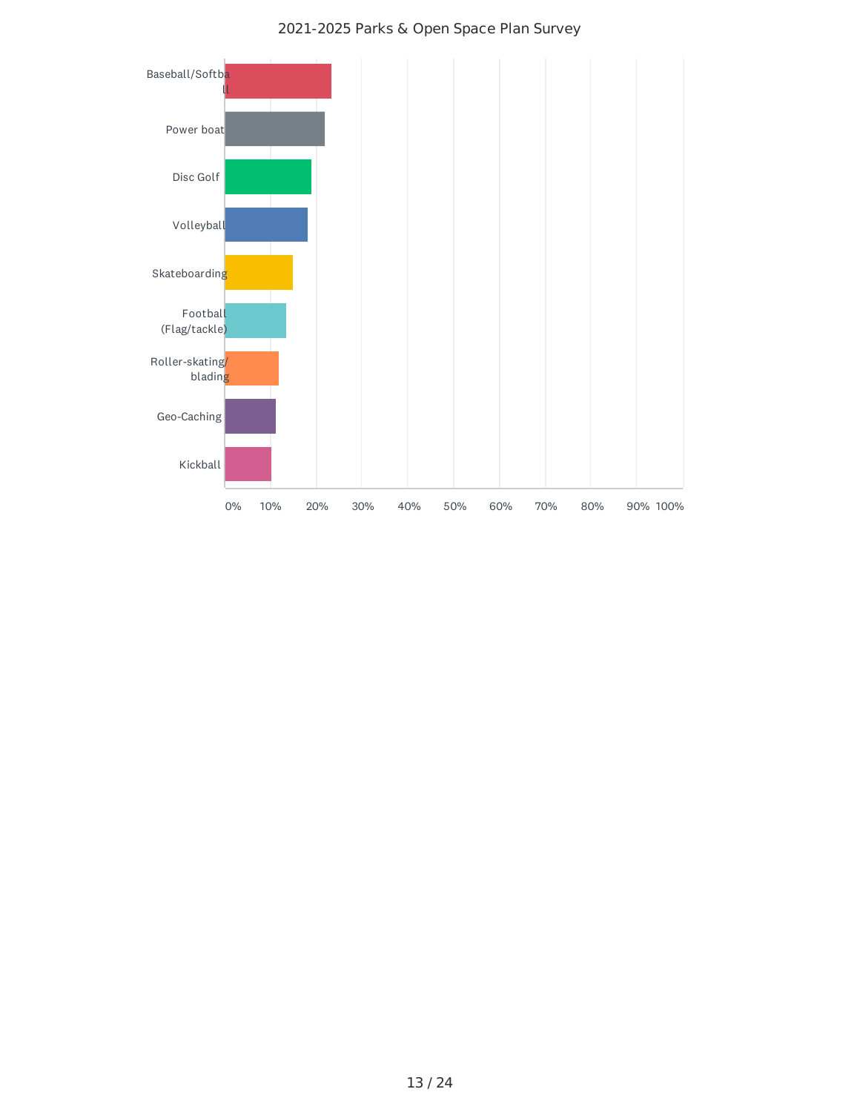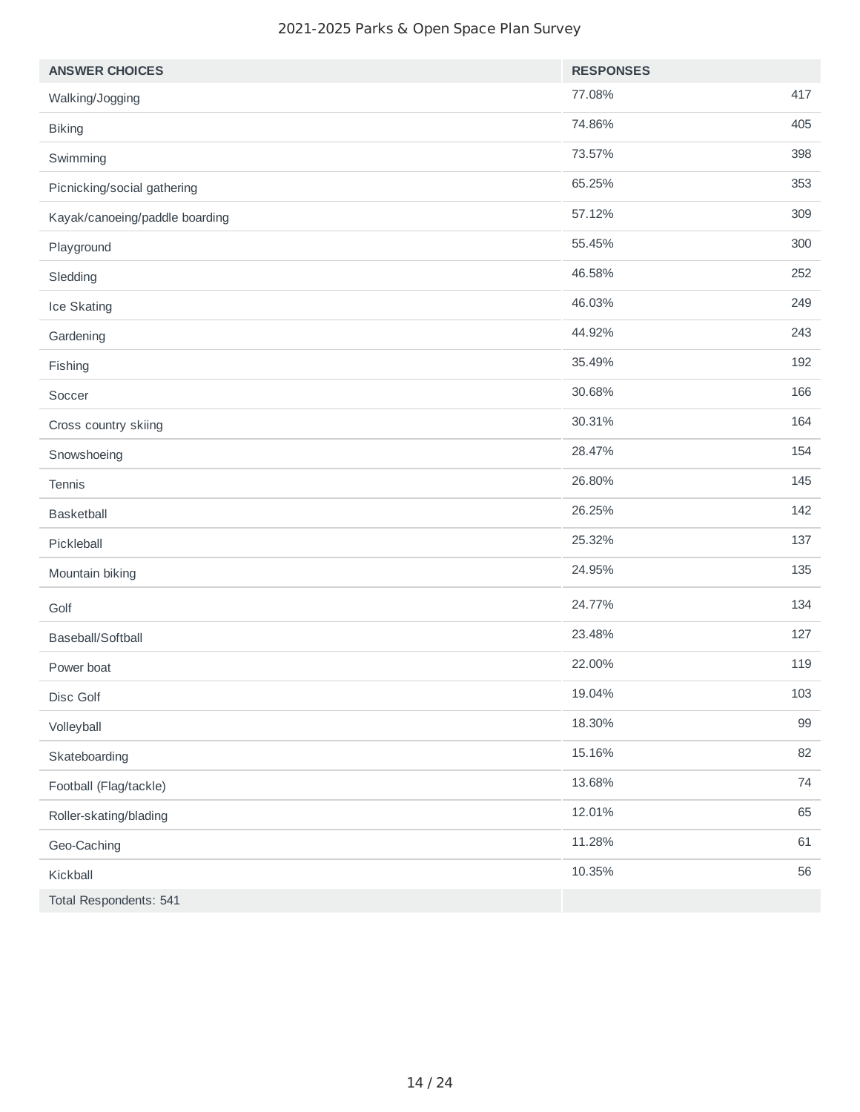| <b>ANSWER CHOICES</b>          | <b>RESPONSES</b> |     |
|--------------------------------|------------------|-----|
| Walking/Jogging                | 77.08%           | 417 |
| <b>Biking</b>                  | 74.86%           | 405 |
| Swimming                       | 73.57%           | 398 |
| Picnicking/social gathering    | 65.25%           | 353 |
| Kayak/canoeing/paddle boarding | 57.12%           | 309 |
| Playground                     | 55.45%           | 300 |
| Sledding                       | 46.58%           | 252 |
| Ice Skating                    | 46.03%           | 249 |
| Gardening                      | 44.92%           | 243 |
| Fishing                        | 35.49%           | 192 |
| Soccer                         | 30.68%           | 166 |
| Cross country skiing           | 30.31%           | 164 |
| Snowshoeing                    | 28.47%           | 154 |
| Tennis                         | 26.80%           | 145 |
| Basketball                     | 26.25%           | 142 |
| Pickleball                     | 25.32%           | 137 |
| Mountain biking                | 24.95%           | 135 |
| Golf                           | 24.77%           | 134 |
| Baseball/Softball              | 23.48%           | 127 |
| Power boat                     | 22.00%           | 119 |
| Disc Golf                      | 19.04%           | 103 |
| Volleyball                     | 18.30%           | 99  |
| Skateboarding                  | 15.16%           | 82  |
| Football (Flag/tackle)         | 13.68%           | 74  |
| Roller-skating/blading         | 12.01%           | 65  |
| Geo-Caching                    | 11.28%           | 61  |
| Kickball                       | 10.35%           | 56  |
| Total Respondents: 541         |                  |     |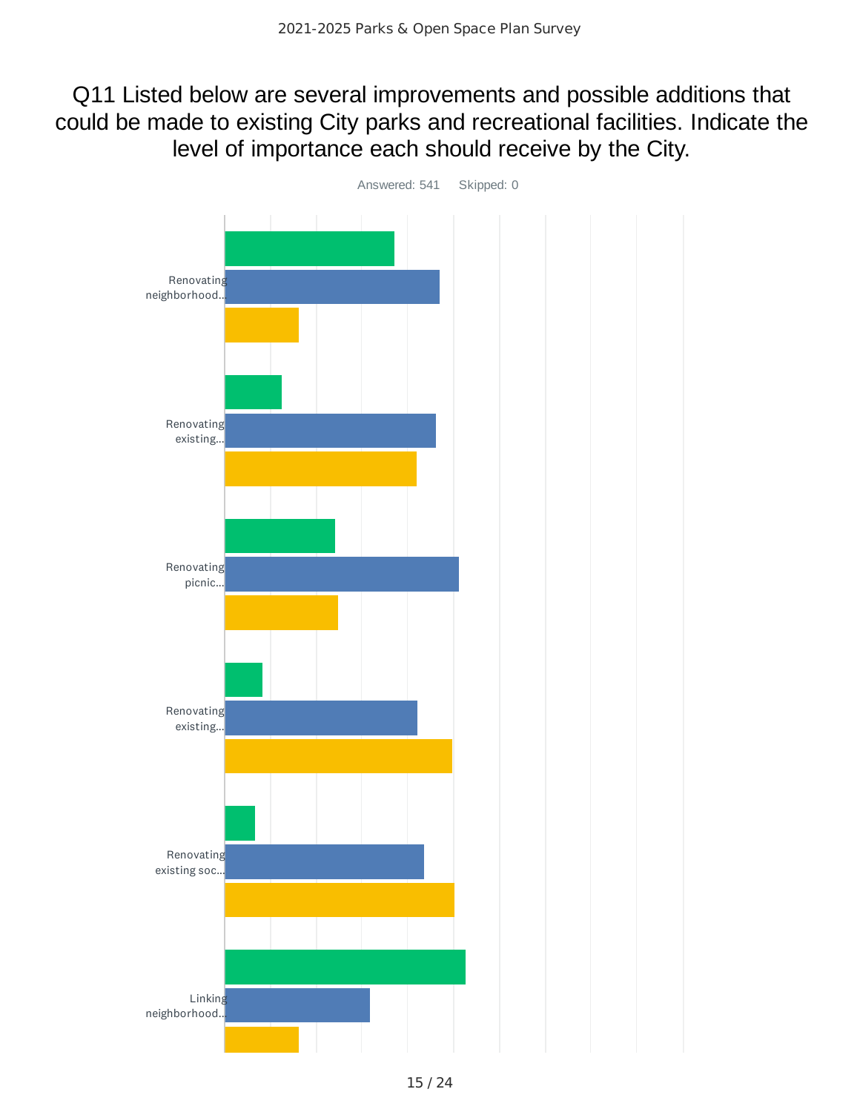### Q11 Listed below are several improvements and possible additions that could be made to existing City parks and recreational facilities. Indicate the level of importance each should receive by the City.

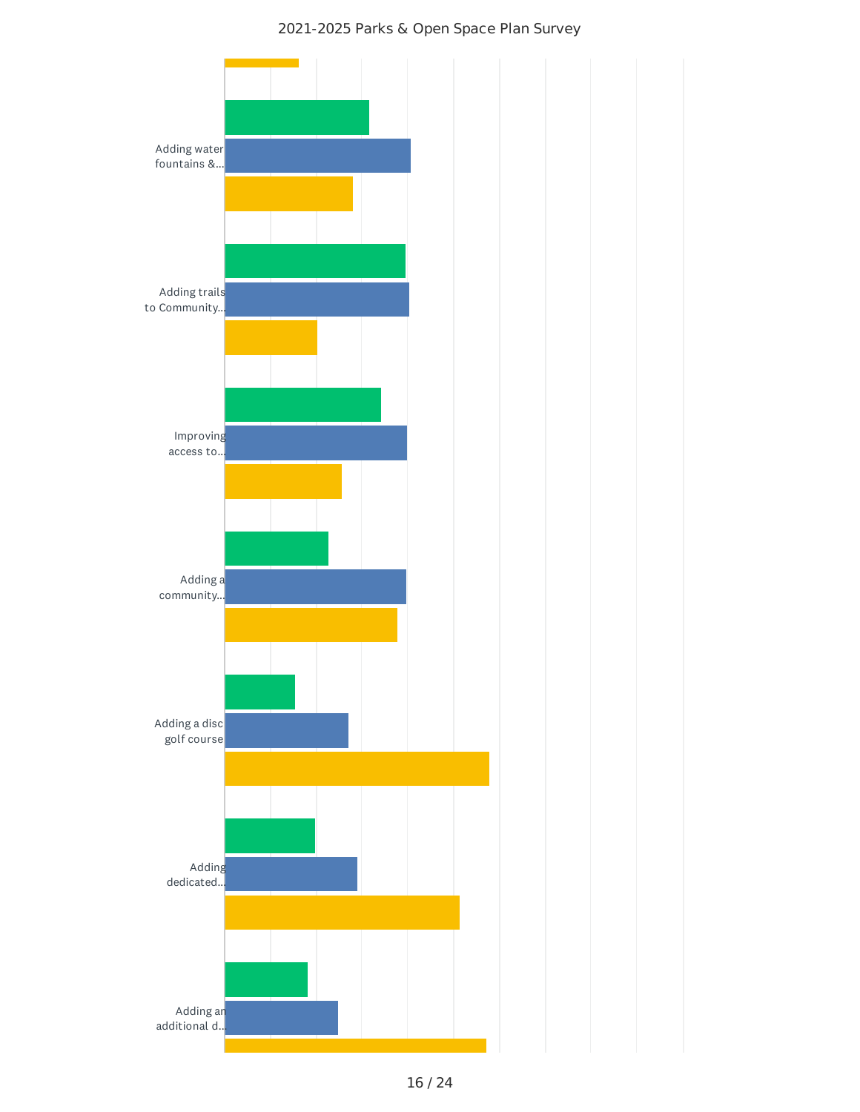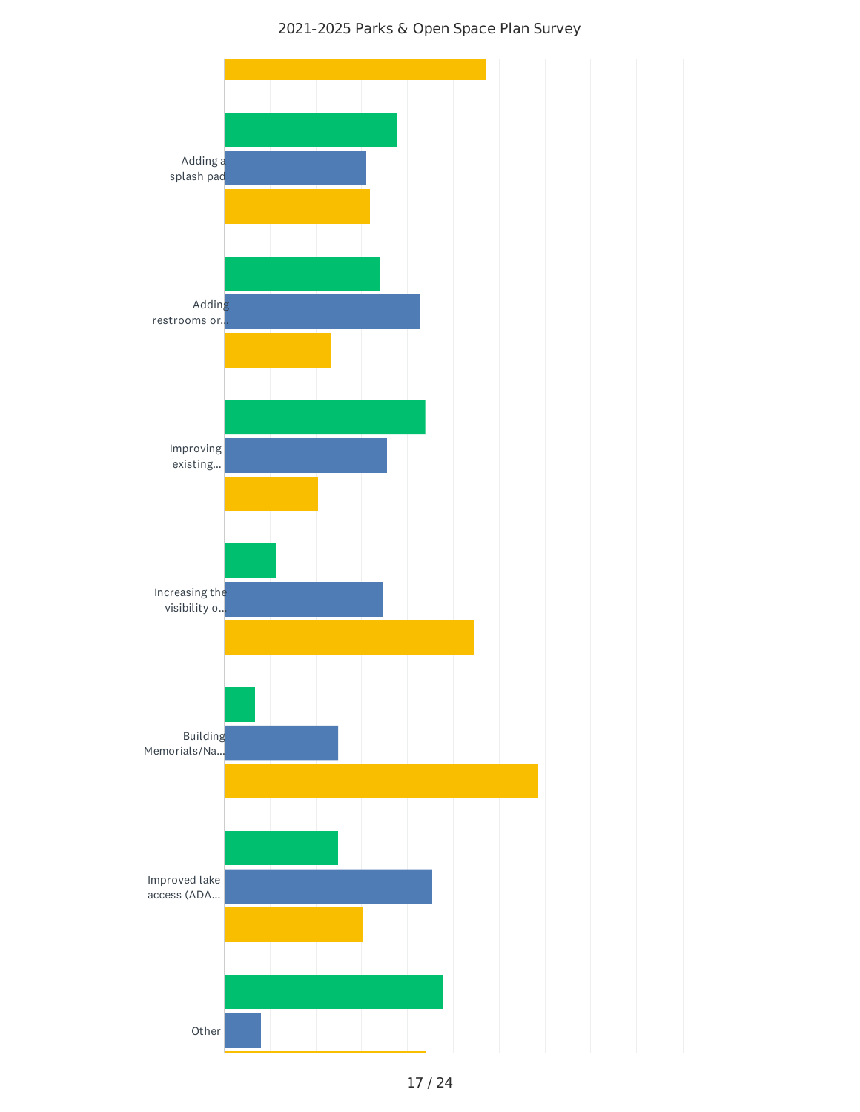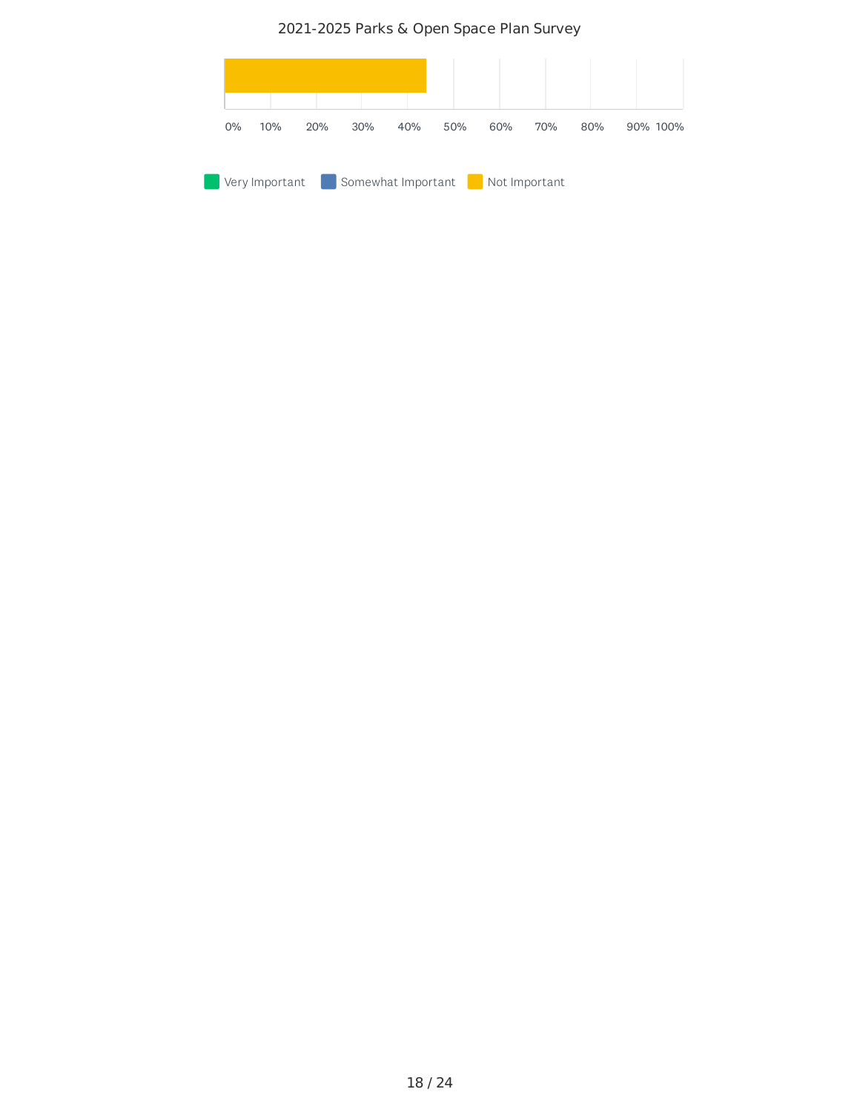2021-2025 Parks & Open Space Plan Survey

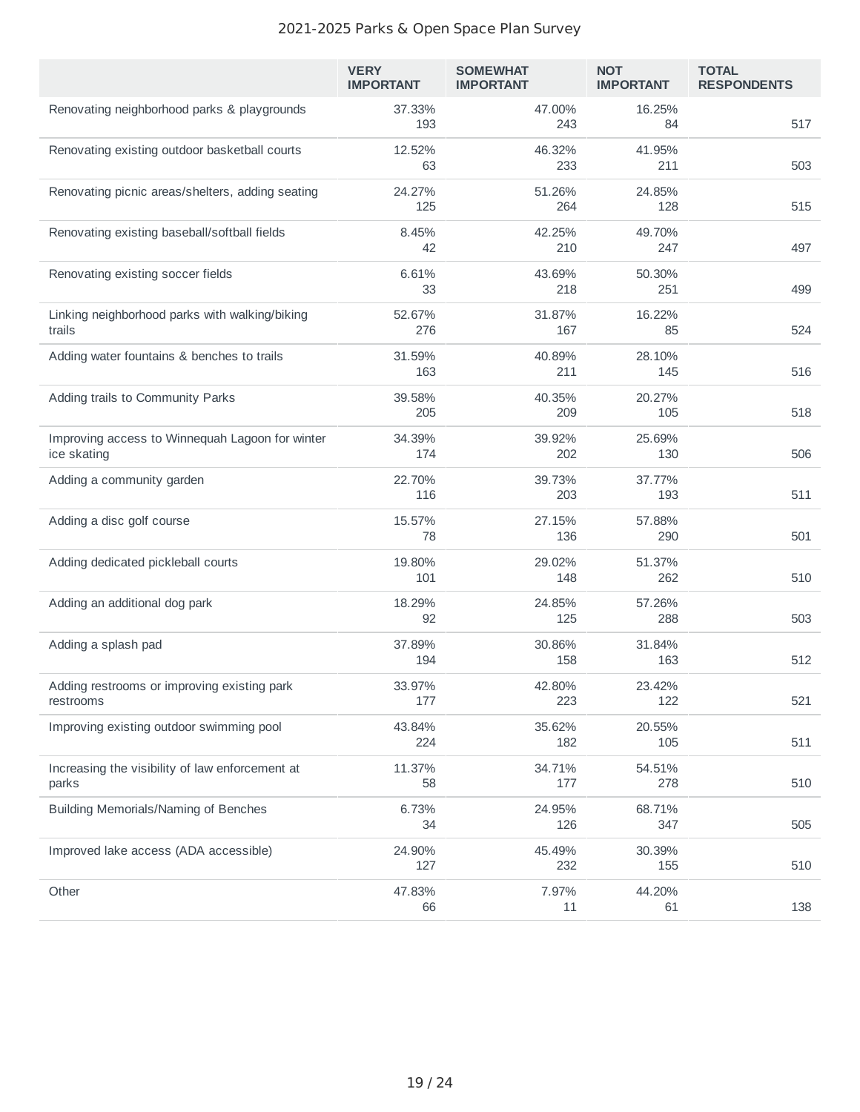|                                                                | <b>VERY</b><br><b>IMPORTANT</b> | <b>SOMEWHAT</b><br><b>IMPORTANT</b> | <b>NOT</b><br><b>IMPORTANT</b> | <b>TOTAL</b><br><b>RESPONDENTS</b> |
|----------------------------------------------------------------|---------------------------------|-------------------------------------|--------------------------------|------------------------------------|
| Renovating neighborhood parks & playgrounds                    | 37.33%<br>193                   | 47.00%<br>243                       | 16.25%<br>84                   | 517                                |
| Renovating existing outdoor basketball courts                  | 12.52%<br>63                    | 46.32%<br>233                       | 41.95%<br>211                  | 503                                |
| Renovating picnic areas/shelters, adding seating               | 24.27%<br>125                   | 51.26%<br>264                       | 24.85%<br>128                  | 515                                |
| Renovating existing baseball/softball fields                   | 8.45%<br>42                     | 42.25%<br>210                       | 49.70%<br>247                  | 497                                |
| Renovating existing soccer fields                              | 6.61%<br>33                     | 43.69%<br>218                       | 50.30%<br>251                  | 499                                |
| Linking neighborhood parks with walking/biking<br>trails       | 52.67%<br>276                   | 31.87%<br>167                       | 16.22%<br>85                   | 524                                |
| Adding water fountains & benches to trails                     | 31.59%<br>163                   | 40.89%<br>211                       | 28.10%<br>145                  | 516                                |
| Adding trails to Community Parks                               | 39.58%<br>205                   | 40.35%<br>209                       | 20.27%<br>105                  | 518                                |
| Improving access to Winnequah Lagoon for winter<br>ice skating | 34.39%<br>174                   | 39.92%<br>202                       | 25.69%<br>130                  | 506                                |
| Adding a community garden                                      | 22.70%<br>116                   | 39.73%<br>203                       | 37.77%<br>193                  | 511                                |
| Adding a disc golf course                                      | 15.57%<br>78                    | 27.15%<br>136                       | 57.88%<br>290                  | 501                                |
| Adding dedicated pickleball courts                             | 19.80%<br>101                   | 29.02%<br>148                       | 51.37%<br>262                  | 510                                |
| Adding an additional dog park                                  | 18.29%<br>92                    | 24.85%<br>125                       | 57.26%<br>288                  | 503                                |
| Adding a splash pad                                            | 37.89%<br>194                   | 30.86%<br>158                       | 31.84%<br>163                  | 512                                |
| Adding restrooms or improving existing park<br>restrooms       | 33.97%<br>177                   | 42.80%<br>223                       | 23.42%<br>122                  | 521                                |
| Improving existing outdoor swimming pool                       | 43.84%<br>224                   | 35.62%<br>182                       | 20.55%<br>105                  | 511                                |
| Increasing the visibility of law enforcement at<br>parks       | 11.37%<br>58                    | 34.71%<br>177                       | 54.51%<br>278                  | 510                                |
| Building Memorials/Naming of Benches                           | 6.73%<br>34                     | 24.95%<br>126                       | 68.71%<br>347                  | 505                                |
| Improved lake access (ADA accessible)                          | 24.90%<br>127                   | 45.49%<br>232                       | 30.39%<br>155                  | 510                                |
| Other                                                          | 47.83%<br>66                    | 7.97%<br>11                         | 44.20%<br>61                   | 138                                |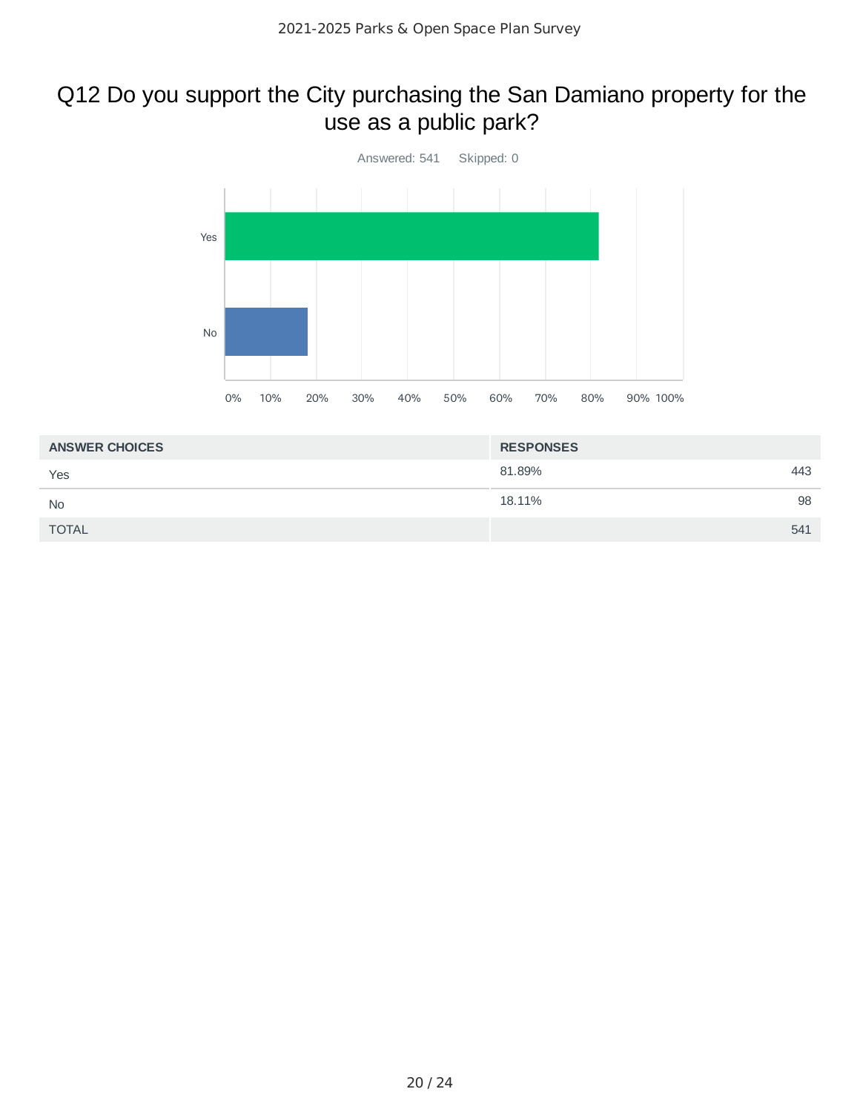### Q12 Do you support the City purchasing the San Damiano property for the use as a public park?



| <b>ANSWER CHOICES</b> | <b>RESPONSES</b> |     |
|-----------------------|------------------|-----|
| Yes                   | 81.89%           | 443 |
| <b>No</b>             | 18.11%           | 98  |
| <b>TOTAL</b>          |                  | 541 |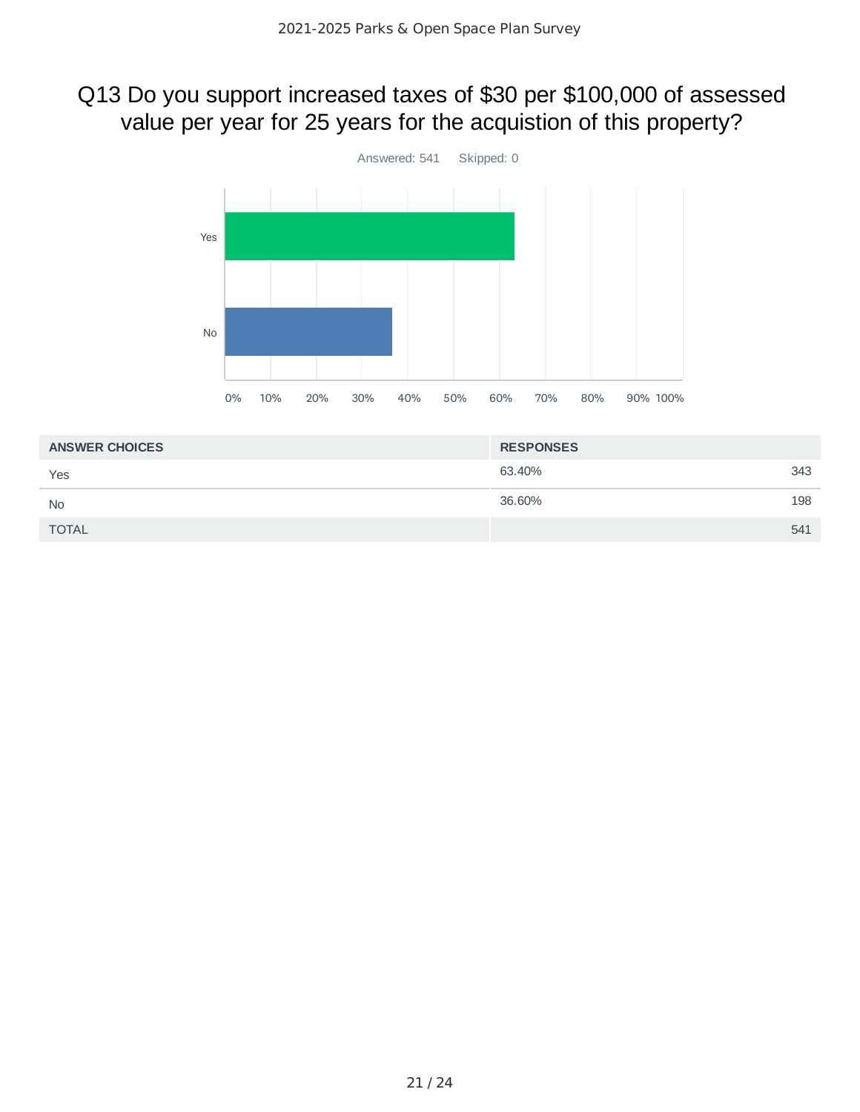# Q13 Do you support increased taxes of \$30 per \$100,000 of assessed value per year for 25 years for the acquistion of this property?



| <b>ANSWER CHOICES</b> | <b>RESPONSES</b> |     |
|-----------------------|------------------|-----|
| Yes                   | 63.40%           | 343 |
| <b>No</b>             | 36.60%           | 198 |
| <b>TOTAL</b>          |                  | 541 |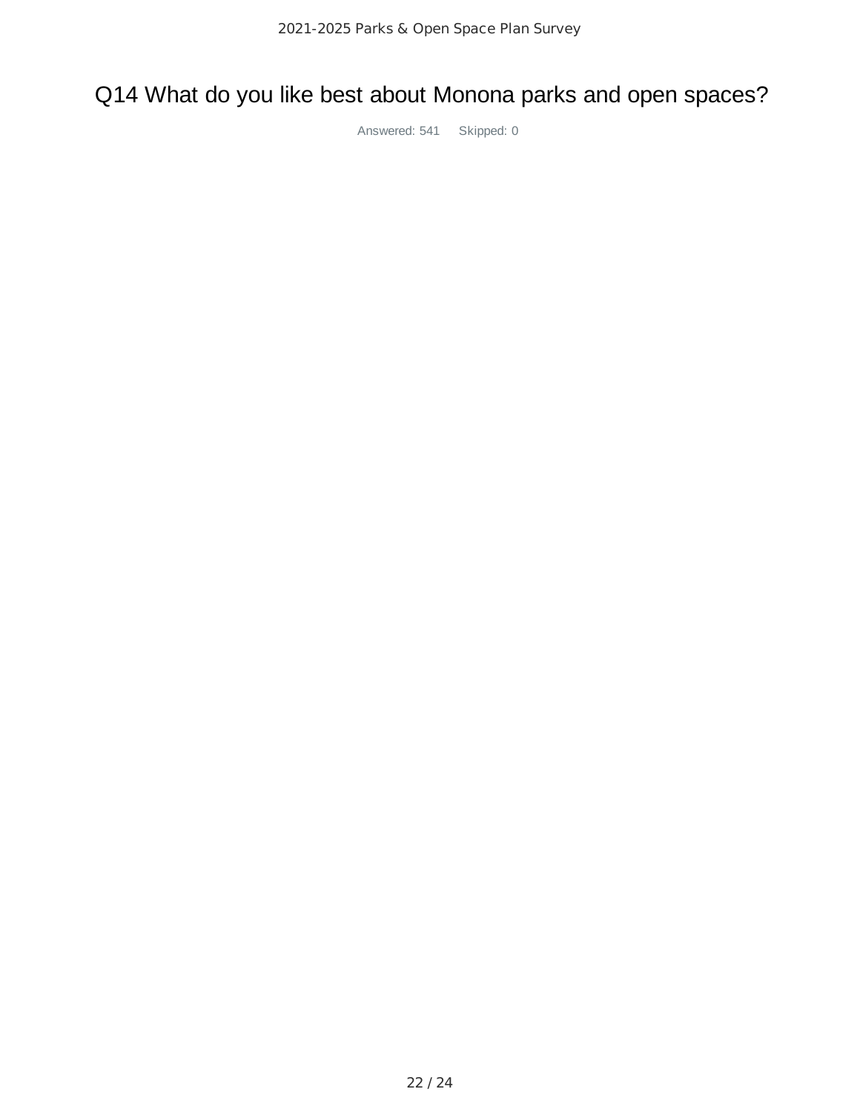## Q14 What do you like best about Monona parks and open spaces?

Answered: 541 Skipped: 0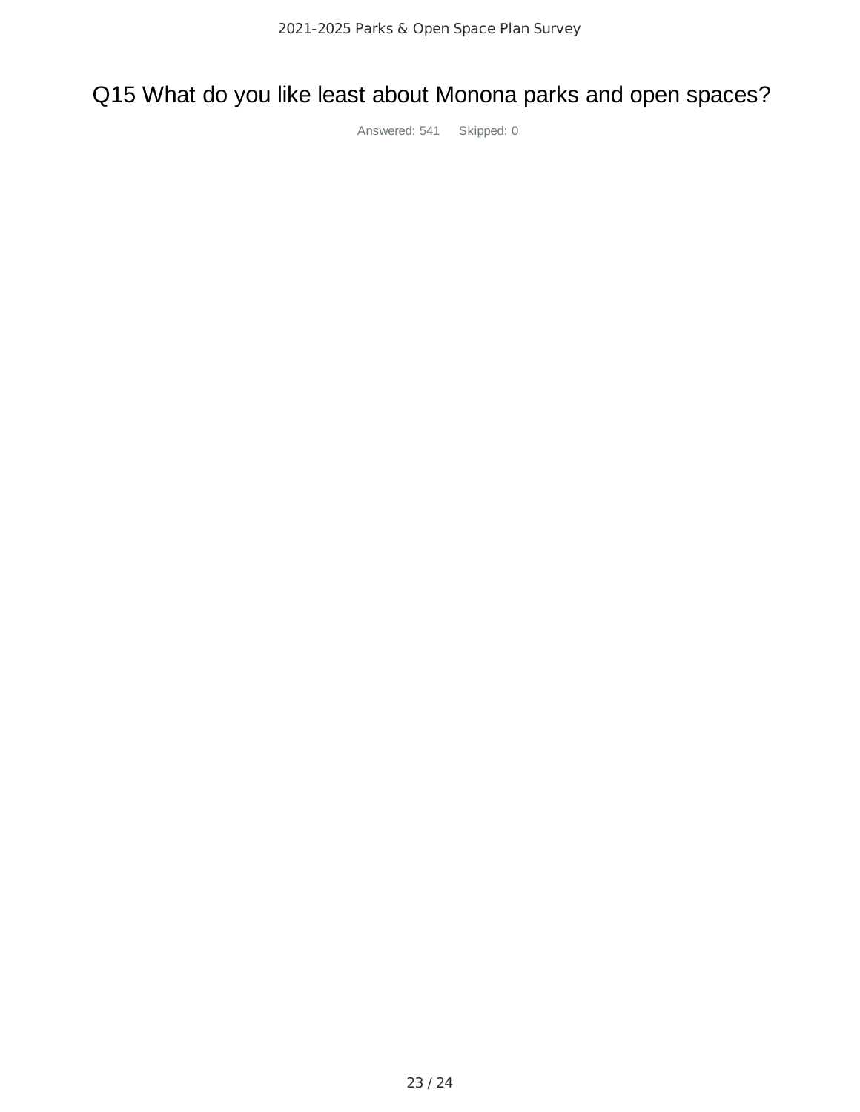## Q15 What do you like least about Monona parks and open spaces?

Answered: 541 Skipped: 0